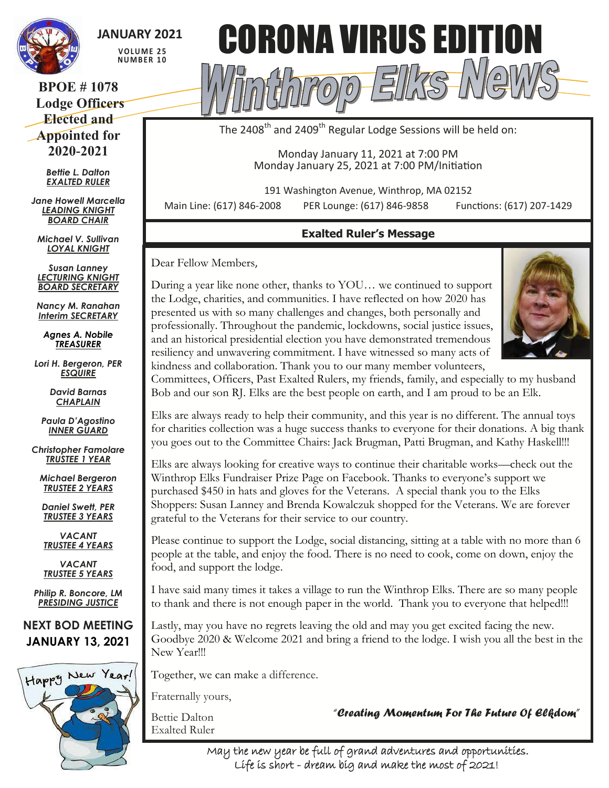

# **JANUARY 2021**

**V O LU M E 2 5 NU M B E R 1 0**

### **BPOE # 1078 Lodge Officers Elected and Appointed for 2020-2021**

*Bettie L. Dalton EXALTED RULER*

*Jane Howell Marcella LEADING KNIGHT BOARD CHAIR*

*Michael V. Sullivan LOYAL KNIGHT*

*Susan Lanney LECTURING KNIGHT BOARD SECRETARY*

*Nancy M. Ranahan Interim SECRETARY*

*Agnes A. Nobile TREASURER*

*Lori H. Bergeron, PER ESQUIRE*

> *David Barnas CHAPLAIN*

*Paula D'Agostino INNER GUARD*

*Christopher Famolare TRUSTEE 1 YEAR*

*Michael Bergeron TRUSTEE 2 YEARS*

*Daniel Swett, PER TRUSTEE 3 YEARS*

*VACANT TRUSTEE 4 YEARS*

*VACANT TRUSTEE 5 YEARS*

*Philip R. Boncore, LM PRESIDING JUSTICE*

**NEXT BOD MEETING JANUARY 13, 2021**





The 2408<sup>th</sup> and 2409<sup>th</sup> Regular Lodge Sessions will be held on:

Monday January 11, 2021 at 7:00 PM Monday January 25, 2021 at 7:00 PM/Initiation

191 Washington Avenue, Winthrop, MA 02152

Main Line: (617) 846-2008 PER Lounge: (617) 846-9858 Functions: (617) 207-1429

## **Exalted Ruler's Message**

Dear Fellow Members,

During a year like none other, thanks to YOU… we continued to support the Lodge, charities, and communities. I have reflected on how 2020 has presented us with so many challenges and changes, both personally and professionally. Throughout the pandemic, lockdowns, social justice issues, and an historical presidential election you have demonstrated tremendous resiliency and unwavering commitment. I have witnessed so many acts of kindness and collaboration. Thank you to our many member volunteers,



Committees, Officers, Past Exalted Rulers, my friends, family, and especially to my husband Bob and our son RJ. Elks are the best people on earth, and I am proud to be an Elk.

Elks are always ready to help their community, and this year is no different. The annual toys for charities collection was a huge success thanks to everyone for their donations. A big thank you goes out to the Committee Chairs: Jack Brugman, Patti Brugman, and Kathy Haskell!!!

Elks are always looking for creative ways to continue their charitable works—check out the Winthrop Elks Fundraiser Prize Page on Facebook. Thanks to everyone's support we purchased \$450 in hats and gloves for the Veterans. A special thank you to the Elks Shoppers: Susan Lanney and Brenda Kowalczuk shopped for the Veterans. We are forever grateful to the Veterans for their service to our country.

Please continue to support the Lodge, social distancing, sitting at a table with no more than 6 people at the table, and enjoy the food. There is no need to cook, come on down, enjoy the food, and support the lodge.

I have said many times it takes a village to run the Winthrop Elks. There are so many people to thank and there is not enough paper in the world. Thank you to everyone that helped!!!

Lastly, may you have no regrets leaving the old and may you get excited facing the new. Goodbye 2020 & Welcome 2021 and bring a friend to the lodge. I wish you all the best in the New Year!!!

Together, we can make a difference.

Fraternally yours,

Bettie Dalton Exalted Ruler *"Creating Momentum For The Future Of Elkdom"* 

May the new year be full of grand adventures and opportunities. Life is short - dream big and make the most of 2021!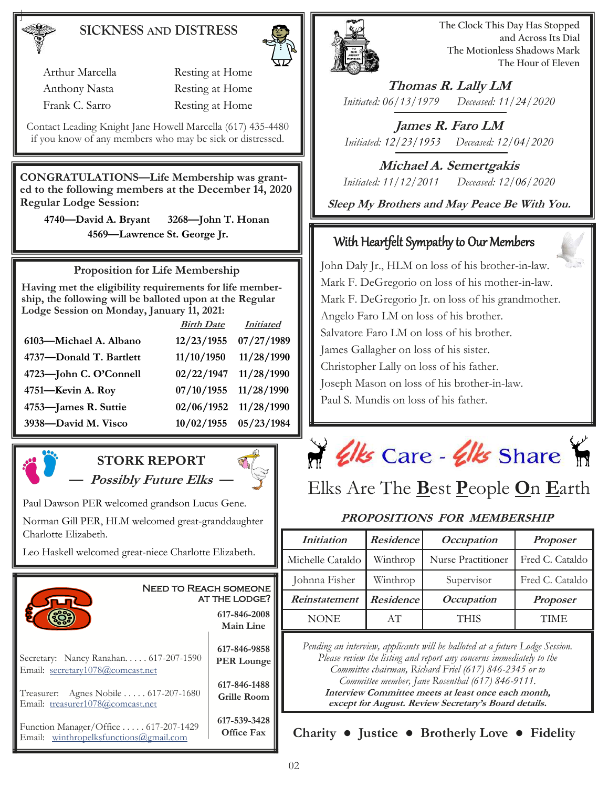## **SICKNESS AND DISTRESS**

Arthur Marcella Resting at Home Anthony Nasta Resting at Home Frank C. Sarro Resting at Home

Contact Leading Knight Jane Howell Marcella (617) 435-4480 if you know of any members who may be sick or distressed.

**CONGRATULATIONS—Life Membership was granted to the following members at the December 14, 2020 Regular Lodge Session:** 

**4740—David A. Bryant 3268—John T. Honan 4569—Lawrence St. George Jr.** 

**Proposition for Life Membership**

**Having met the eligibility requirements for life membership, the following will be balloted upon at the Regular Lodge Session on Monday, January 11, 2021:**

|                         | <b>Birth Date</b> | <b>Initiated</b> |
|-------------------------|-------------------|------------------|
| 6103-Michael A. Albano  | 12/23/1955        | 07/27/1989       |
| 4737-Donald T. Bartlett | 11/10/1950        | 11/28/1990       |
| 4723-John C. O'Connell  | 02/22/1947        | 11/28/1990       |
| 4751-Kevin A. Roy       | 07/10/1955        | 11/28/1990       |
| 4753-James R. Suttie    | 02/06/1952        | 11/28/1990       |
| 3938-David M. Visco     | 10/02/1955        | 05/23/1984       |



# **STORK REPORT — Possibly Future Elks —**

Paul Dawson PER welcomed grandson Lucus Gene.

Norman Gill PER, HLM welcomed great-granddaughter Charlotte Elizabeth.

Leo Haskell welcomed great-niece Charlotte Elizabeth.





**The Clock This Day Has Stopped and Across Its Dial The Motionless Shadows Mark The Hour of Eleven**

**Thomas R. Lally LM** *Initiated: 06/13/1979 Deceased: 11/24/2020*

**James R. Faro LM** *Initiated: 12/23/1953 Deceased: 12/04/2020*

**Michael A. Semertgakis** *Initiated: 11/12/2011 Deceased: 12/06/2020*

**Sleep My Brothers and May Peace Be With You.**

# With Heartfelt Sympathy to Our Members

John Daly Jr., HLM on loss of his brother-in-law. Mark F. DeGregorio on loss of his mother-in-law. Mark F. DeGregorio Jr. on loss of his grandmother. Angelo Faro LM on loss of his brother. Salvatore Faro LM on loss of his brother. James Gallagher on loss of his sister. Christopher Lally on loss of his father. Joseph Mason on loss of his brother-in-law. Paul S. Mundis on loss of his father.



# Elks Are The **B**est **P**eople **O**n **E**arth

### **PROPOSITIONS FOR MEMBERSHIP**

| <i>Initiation</i> | <i>Residence</i> | <i>Occupation</i>  | <b>Proposer</b> |
|-------------------|------------------|--------------------|-----------------|
| Michelle Cataldo  | Winthrop         | Nurse Practitioner | Fred C. Cataldo |
| Johnna Fisher     | Winthrop         | Supervisor         | Fred C. Cataldo |
| Reinstatement     | <b>Residence</b> | <b>Occupation</b>  | <b>Proposer</b> |
| <b>NONE</b>       | AT               | <b>THIS</b>        | TIME            |

*Pending an interview, applicants will be balloted at a future Lodge Session. Please review the listing and report any concerns immediately to the Committee chairman, Richard Friel (617) 846-2345 or to Committee member, Jane Rosenthal (617) 846-9111.* **Interview Committee meets at least once each month, except for August. Review Secretary's Board details.**

**Charity ● Justice ● Brotherly Love ● Fidelity**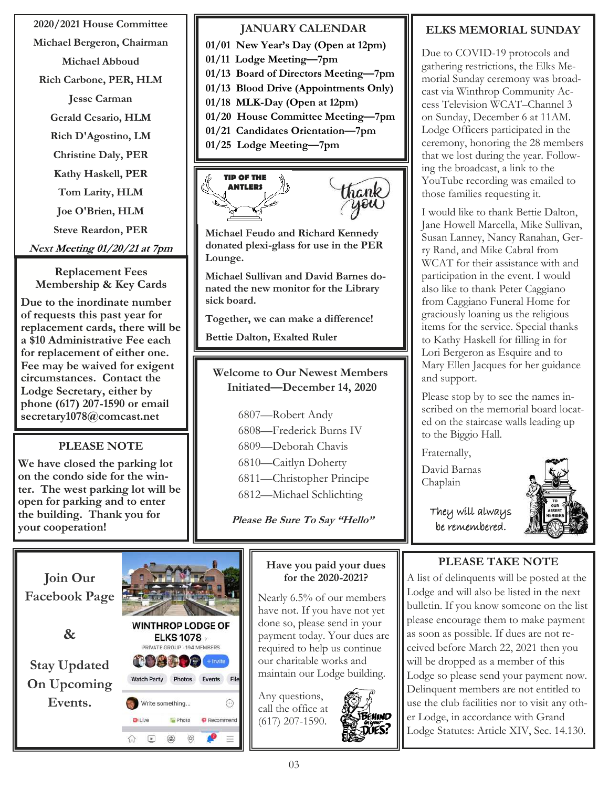#### **2020/2021 House Committee**

**Michael Bergeron, Chairman**

**Michael Abboud**

**Rich Carbone, PER, HLM**

**Jesse Carman**

**Gerald Cesario, HLM**

**Rich D'Agostino, LM**

**Christine Daly, PER**

**Kathy Haskell, PER**

**Tom Larity, HLM**

**Joe O'Brien, HLM**

**Steve Reardon, PER**

**Next Meeting 01/20/21 at 7pm**

**Replacement Fees Membership & Key Cards**

**Due to the inordinate number of requests this past year for replacement cards, there will be a \$10 Administrative Fee each for replacement of either one. Fee may be waived for exigent circumstances. Contact the Lodge Secretary, either by phone (617) 207-1590 or email secretary1078@comcast.net** 

## **PLEASE NOTE**

**We have closed the parking lot on the condo side for the winter. The west parking lot will be open for parking and to enter the building. Thank you for your cooperation!**

#### **JANUARY CALENDAR**

**01/01 New Year's Day (Open at 12pm)**

**01/11 Lodge Meeting—7pm**

**01/13 Board of Directors Meeting—7pm**

- **01/13 Blood Drive (Appointments Only)**
- **01/18 MLK-Day (Open at 12pm)**
- **01/20 House Committee Meeting—7pm**
- **01/21 Candidates Orientation—7pm**
- **01/25 Lodge Meeting—7pm**



**Michael Feudo and Richard Kennedy donated plexi-glass for use in the PER Lounge.**

**Michael Sullivan and David Barnes donated the new monitor for the Library sick board.**

**Together, we can make a difference!**

**Bettie Dalton, Exalted Ruler**

**Welcome to Our Newest Members Initiated—December 14, 2020**

> —Robert Andy —Frederick Burns IV —Deborah Chavis —Caitlyn Doherty —Christopher Principe —Michael Schlichting

**Please Be Sure To Say "Hello"**



#### **Have you paid your dues for the 2020-2021?**

Nearly 6.5% of our members have not. If you have not yet done so, please send in your payment today. Your dues are required to help us continue our charitable works and maintain our Lodge building.

Any questions, call the office at (617) 207-1590.



### **ELKS MEMORIAL SUNDAY**

Due to COVID-19 protocols and gathering restrictions, the Elks Memorial Sunday ceremony was broadcast via Winthrop Community Access Television WCAT–Channel 3 on Sunday, December 6 at 11AM. Lodge Officers participated in the ceremony, honoring the 28 members that we lost during the year. Following the broadcast, a link to the YouTube recording was emailed to those families requesting it.

I would like to thank Bettie Dalton, Jane Howell Marcella, Mike Sullivan, Susan Lanney, Nancy Ranahan, Gerry Rand, and Mike Cabral from WCAT for their assistance with and participation in the event. I would also like to thank Peter Caggiano from Caggiano Funeral Home for graciously loaning us the religious items for the service. Special thanks to Kathy Haskell for filling in for Lori Bergeron as Esquire and to Mary Ellen Jacques for her guidance and support.

Please stop by to see the names inscribed on the memorial board located on the staircase walls leading up to the Biggio Hall.

Fraternally,

David Barnas Chaplain

> They will always be remembered.



### **PLEASE TAKE NOTE**

A list of delinquents will be posted at the Lodge and will also be listed in the next bulletin. If you know someone on the list please encourage them to make payment as soon as possible. If dues are not received before March 22, 2021 then you will be dropped as a member of this Lodge so please send your payment now. Delinquent members are not entitled to use the club facilities nor to visit any other Lodge, in accordance with Grand Lodge Statutes: Article XIV, Sec. 14.130.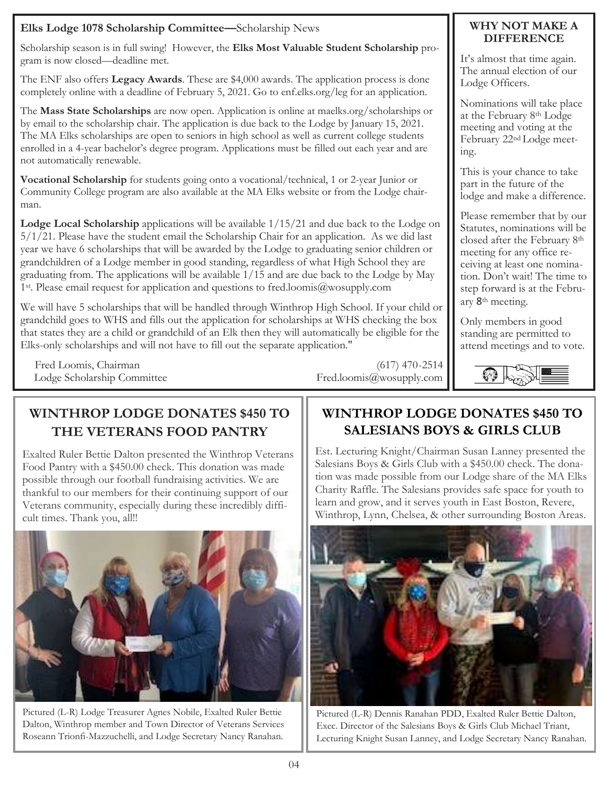#### **Elks Lodge 1078 Scholarship Committee—**Scholarship News

Scholarship season is in full swing! However, the **Elks Most Valuable Student Scholarship** program is now closed—deadline met.

The ENF also offers **Legacy Awards**. These are \$4,000 awards. The application process is done completely online with a deadline of February 5, 2021. Go to enf.elks.org/leg for an application.

The **Mass State Scholarships** are now open. Application is online at maelks.org/scholarships or by email to the scholarship chair. The application is due back to the Lodge by January 15, 2021. The MA Elks scholarships are open to seniors in high school as well as current college students enrolled in a 4-year bachelor's degree program. Applications must be filled out each year and are not automatically renewable.

**Vocational Scholarship** for students going onto a vocational/technical, 1 or 2-year Junior or Community College program are also available at the MA Elks website or from the Lodge chairman.

**Lodge Local Scholarship** applications will be available 1/15/21 and due back to the Lodge on 5/1/21. Please have the student email the Scholarship Chair for an application. As we did last year we have 6 scholarships that will be awarded by the Lodge to graduating senior children or grandchildren of a Lodge member in good standing, regardless of what High School they are graduating from. The applications will be available 1/15 and are due back to the Lodge by May 1st. Please email request for application and questions to fred.loomis@wosupply.com

We will have 5 scholarships that will be handled through Winthrop High School. If your child or grandchild goes to WHS and fills out the application for scholarships at WHS checking the box that states they are a child or grandchild of an Elk then they will automatically be eligible for the Elks-only scholarships and will not have to fill out the separate application."

Fred Loomis, Chairman (617) 470-2514 Lodge Scholarship Committee Fred.loomis@wosupply.com

#### **WHY NOT MAKE A DIFFERENCE**

It's almost that time again. The annual election of our Lodge Officers.

Nominations will take place at the February 8th Lodge meeting and voting at the February 22nd Lodge meeting.

This is your chance to take part in the future of the lodge and make a difference.

Please remember that by our Statutes, nominations will be closed after the February 8th meeting for any office receiving at least one nomination. Don't wait! The time to step forward is at the February 8th meeting.

Only members in good standing are permitted to attend meetings and to vote.



# **WINTHROP LODGE DONATES \$450 TO THE VETERANS FOOD PANTRY**

Exalted Ruler Bettie Dalton presented the Winthrop Veterans Food Pantry with a \$450.00 check. This donation was made possible through our football fundraising activities. We are thankful to our members for their continuing support of our Veterans community, especially during these incredibly difficult times. Thank you, all!!



Pictured (L-R) Lodge Treasurer Agnes Nobile, Exalted Ruler Bettie Dalton, Winthrop member and Town Director of Veterans Services Roseann Trionfi-Mazzuchelli, and Lodge Secretary Nancy Ranahan.

# **WINTHROP LODGE DONATES \$450 TO SALESIANS BOYS & GIRLS CLUB**

Est. Lecturing Knight/Chairman Susan Lanney presented the Salesians Boys & Girls Club with a \$450.00 check. The donation was made possible from our Lodge share of the MA Elks Charity Raffle. The Salesians provides safe space for youth to learn and grow, and it serves youth in East Boston, Revere, Winthrop, Lynn, Chelsea, & other surrounding Boston Areas.



Pictured (L-R) Dennis Ranahan PDD, Exalted Ruler Bettie Dalton, Exec. Director of the Salesians Boys & Girls Club Michael Triant, Lecturing Knight Susan Lanney, and Lodge Secretary Nancy Ranahan.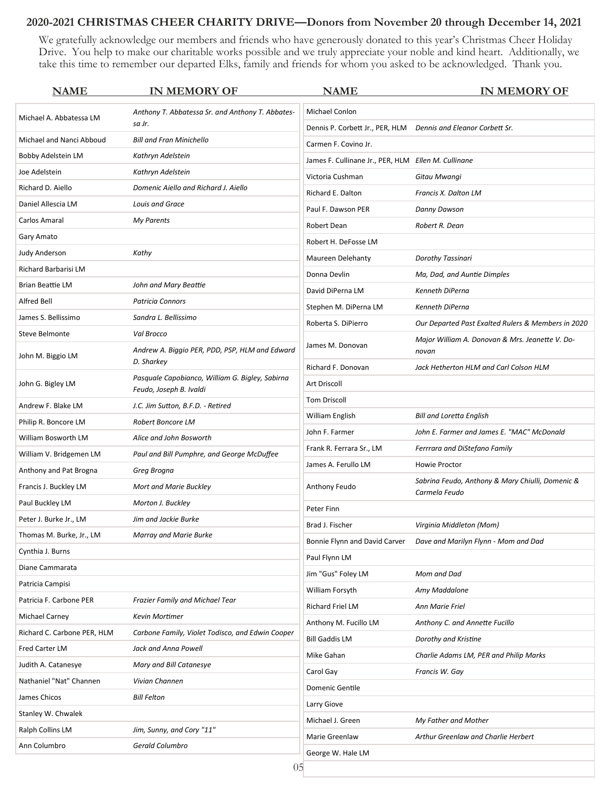#### **2020-2021 CHRISTMAS CHEER CHARITY DRIVE—Donors from November 20 through December 14, 2021**

We gratefully acknowledge our members and friends who have generously donated to this year's Christmas Cheer Holiday Drive. You help to make our charitable works possible and we truly appreciate your noble and kind heart. Additionally, we take this time to remember our departed Elks, family and friends for whom you asked to be acknowledged. Thank you.

| <b>NAME</b>                                                                 | <b>IN MEMORY OF</b>                                                        | <b>NAME</b>                                         | <b>IN MEMORY OF</b>                                |
|-----------------------------------------------------------------------------|----------------------------------------------------------------------------|-----------------------------------------------------|----------------------------------------------------|
| Anthony T. Abbatessa Sr. and Anthony T. Abbates-<br>Michael A. Abbatessa LM |                                                                            | Michael Conlon                                      |                                                    |
|                                                                             | sa Jr.                                                                     | Dennis P. Corbett Jr., PER, HLM                     | Dennis and Eleanor Corbett Sr.                     |
| Michael and Nanci Abboud                                                    | <b>Bill and Fran Minichello</b>                                            | Carmen F. Covino Jr.                                |                                                    |
| Bobby Adelstein LM                                                          | Kathryn Adelstein                                                          | James F. Cullinane Jr., PER, HLM Ellen M. Cullinane |                                                    |
| Joe Adelstein                                                               | Kathryn Adelstein                                                          | Victoria Cushman                                    | Gitau Mwangi                                       |
| Richard D. Aiello                                                           | Domenic Aiello and Richard J. Aiello                                       | <b>Richard E. Dalton</b>                            | Francis X. Dalton LM                               |
| Daniel Allescia LM                                                          | Louis and Grace                                                            | Paul F. Dawson PER                                  | Danny Dawson                                       |
| Carlos Amaral                                                               | <b>My Parents</b>                                                          | Robert Dean                                         | Robert R. Dean                                     |
| Gary Amato                                                                  |                                                                            | Robert H. DeFosse LM                                |                                                    |
| <b>Judy Anderson</b>                                                        | Kathy                                                                      | Maureen Delehanty                                   | Dorothy Tassinari                                  |
| Richard Barbarisi LM                                                        |                                                                            | Donna Devlin                                        | Ma, Dad, and Auntie Dimples                        |
| <b>Brian Beattie LM</b>                                                     | John and Mary Beattie                                                      | David DiPerna LM                                    | Kenneth DiPerna                                    |
| Alfred Bell                                                                 | <b>Patricia Connors</b>                                                    | Stephen M. DiPerna LM                               | Kenneth DiPerna                                    |
| James S. Bellissimo                                                         | Sandra L. Bellissimo                                                       | Roberta S. DiPierro                                 | Our Departed Past Exalted Rulers & Members in 2020 |
| Steve Belmonte                                                              | Val Brocco                                                                 |                                                     | Major William A. Donovan & Mrs. Jeanette V. Do-    |
| John M. Biggio LM                                                           | Andrew A. Biggio PER, PDD, PSP, HLM and Edward                             | James M. Donovan                                    | novan                                              |
|                                                                             | D. Sharkey                                                                 | Richard F. Donovan                                  | Jack Hetherton HLM and Carl Colson HLM             |
| John G. Bigley LM                                                           | Pasquale Capobianco, William G. Bigley, Sabirna<br>Feudo, Joseph B. Ivaldi | Art Driscoll                                        |                                                    |
| Andrew F. Blake LM                                                          | J.C. Jim Sutton, B.F.D. - Retired                                          | <b>Tom Driscoll</b>                                 |                                                    |
| Philip R. Boncore LM                                                        | Robert Boncore LM                                                          | William English                                     | <b>Bill and Loretta English</b>                    |
| William Bosworth LM                                                         | Alice and John Bosworth                                                    | John F. Farmer                                      | John E. Farmer and James E. "MAC" McDonald         |
| William V. Bridgemen LM                                                     | Paul and Bill Pumphre, and George McDuffee                                 | Frank R. Ferrara Sr., LM                            | Ferrrara and DiStefano Family                      |
| Anthony and Pat Brogna                                                      | Greg Brogna                                                                | James A. Ferullo LM                                 | Howie Proctor                                      |
| Francis J. Buckley LM                                                       | Mort and Marie Buckley                                                     | Anthony Feudo                                       | Sabrina Feudo, Anthony & Mary Chiulli, Domenic &   |
| Paul Buckley LM                                                             | Morton J. Buckley                                                          |                                                     | Carmela Feudo                                      |
| Peter J. Burke Jr., LM                                                      | Jim and Jackie Burke                                                       | Peter Finn                                          |                                                    |
| Thomas M. Burke, Jr., LM                                                    | Marray and Marie Burke                                                     | Brad J. Fischer                                     | Virginia Middleton (Mom)                           |
| Cynthia J. Burns                                                            |                                                                            | Bonnie Flynn and David Carver                       | Dave and Marilyn Flynn - Mom and Dad               |
| Diane Cammarata                                                             |                                                                            | Paul Flynn LM                                       |                                                    |
| Patricia Campisi                                                            |                                                                            | Jim "Gus" Foley LM                                  | Mom and Dad                                        |
| Patricia F. Carbone PER                                                     | <b>Frazier Family and Michael Tear</b>                                     | William Forsyth                                     | Amy Maddalone                                      |
| Michael Carney                                                              | Kevin Mortimer                                                             | Richard Friel LM                                    | <b>Ann Marie Friel</b>                             |
| Richard C. Carbone PER, HLM                                                 | Carbone Family, Violet Todisco, and Edwin Cooper                           | Anthony M. Fucillo LM                               | Anthony C. and Annette Fucillo                     |
| Fred Carter LM                                                              | Jack and Anna Powell                                                       | <b>Bill Gaddis LM</b>                               | Dorothy and Kristine                               |
| Judith A. Catanesye                                                         | Mary and Bill Catanesye                                                    | Mike Gahan                                          | Charlie Adams LM, PER and Philip Marks             |
| Nathaniel "Nat" Channen                                                     | Vivian Channen                                                             | Carol Gay                                           | Francis W. Gay                                     |
| James Chicos                                                                | <b>Bill Felton</b>                                                         | Domenic Gentile                                     |                                                    |
| Stanley W. Chwalek                                                          |                                                                            | Larry Giove                                         |                                                    |
| Ralph Collins LM                                                            | Jim, Sunny, and Cory "11"                                                  | Michael J. Green                                    | My Father and Mother                               |
| Ann Columbro                                                                | Gerald Columbro                                                            | Marie Greenlaw                                      | Arthur Greenlaw and Charlie Herbert                |
|                                                                             |                                                                            | George W. Hale LM                                   |                                                    |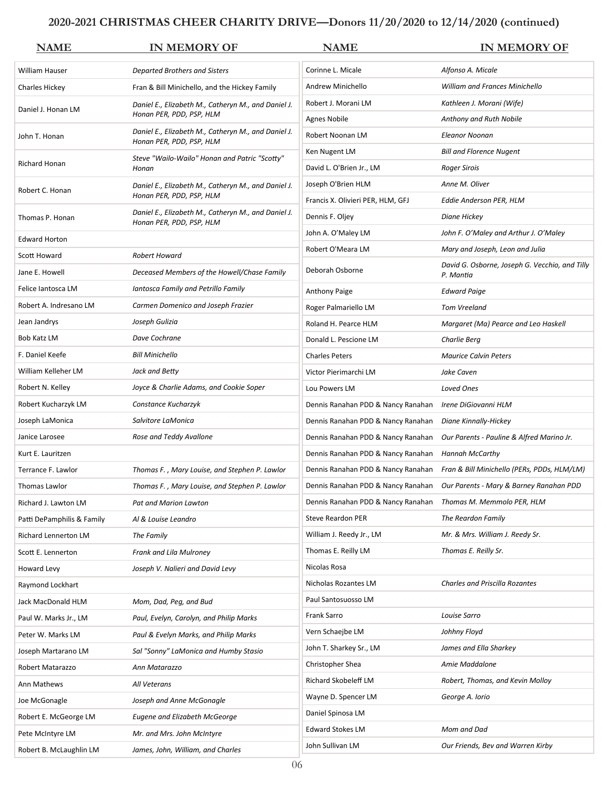#### **2020-2021 CHRISTMAS CHEER CHARITY DRIVE—Donors 11/20/2020 to 12/14/2020 (continued)**

| <b>NAME</b>                 | <b>IN MEMORY OF</b>                                                             | <b>NAME</b>                                                   | <b>IN MEMORY OF</b>                                                            |
|-----------------------------|---------------------------------------------------------------------------------|---------------------------------------------------------------|--------------------------------------------------------------------------------|
| William Hauser              | Departed Brothers and Sisters                                                   | Corinne L. Micale                                             | Alfonso A. Micale                                                              |
| Charles Hickey              | Fran & Bill Minichello, and the Hickey Family                                   | Andrew Minichello                                             | <b>William and Frances Minichello</b>                                          |
| Daniel J. Honan LM          | Daniel E., Elizabeth M., Catheryn M., and Daniel J.                             | Robert J. Morani LM                                           | Kathleen J. Morani (Wife)                                                      |
|                             | Honan PER, PDD, PSP, HLM                                                        | Agnes Nobile                                                  | Anthony and Ruth Nobile                                                        |
| John T. Honan               | Daniel E., Elizabeth M., Catheryn M., and Daniel J.<br>Honan PER, PDD, PSP, HLM | Robert Noonan LM                                              | Eleanor Noonan                                                                 |
|                             | Steve "Wailo-Wailo" Honan and Patric "Scotty"                                   | Ken Nugent LM                                                 | <b>Bill and Florence Nugent</b>                                                |
| <b>Richard Honan</b>        | Honan                                                                           | David L. O'Brien Jr., LM                                      | <b>Roger Sirois</b>                                                            |
| Robert C. Honan             | Daniel E., Elizabeth M., Catheryn M., and Daniel J.                             | Joseph O'Brien HLM                                            | Anne M. Oliver                                                                 |
|                             | Honan PER, PDD, PSP, HLM                                                        | Francis X. Olivieri PER, HLM, GFJ                             | Eddie Anderson PER, HLM                                                        |
| Thomas P. Honan             | Daniel E., Elizabeth M., Catheryn M., and Daniel J.<br>Honan PER, PDD, PSP, HLM | Dennis F. Oljey                                               | Diane Hickey                                                                   |
| <b>Edward Horton</b>        |                                                                                 | John A. O'Maley LM                                            | John F. O'Maley and Arthur J. O'Maley                                          |
| Scott Howard                | Robert Howard                                                                   | Robert O'Meara LM                                             | Mary and Joseph, Leon and Julia                                                |
| Jane E. Howell              | Deceased Members of the Howell/Chase Family                                     | Deborah Osborne                                               | David G. Osborne, Joseph G. Vecchio, and Tilly<br>P. Mantia                    |
| Felice Iantosca LM          | Iantosca Family and Petrillo Family                                             | Anthony Paige                                                 | <b>Edward Paige</b>                                                            |
| Robert A. Indresano LM      | Carmen Domenico and Joseph Frazier                                              | Roger Palmariello LM                                          | <b>Tom Vreeland</b>                                                            |
| Jean Jandrys                | Joseph Gulizia                                                                  | Roland H. Pearce HLM                                          | Margaret (Ma) Pearce and Leo Haskell                                           |
| Bob Katz LM                 | Dave Cochrane                                                                   | Donald L. Pescione LM                                         | Charlie Berg                                                                   |
| F. Daniel Keefe             | <b>Bill Minichello</b>                                                          | <b>Charles Peters</b>                                         | <b>Maurice Calvin Peters</b>                                                   |
| William Kelleher LM         | Jack and Betty                                                                  | Victor Pierimarchi LM                                         | Jake Caven                                                                     |
| Robert N. Kelley            | Joyce & Charlie Adams, and Cookie Soper                                         | Lou Powers LM                                                 | Loved Ones                                                                     |
| Robert Kucharzyk LM         | Constance Kucharzyk                                                             | Dennis Ranahan PDD & Nancy Ranahan                            | Irene DiGiovanni HLM                                                           |
| Joseph LaMonica             | Salvitore LaMonica                                                              | Dennis Ranahan PDD & Nancy Ranahan                            | Diane Kinnally-Hickey                                                          |
| Janice Larosee              | Rose and Teddy Avallone                                                         | Dennis Ranahan PDD & Nancy Ranahan                            | Our Parents - Pauline & Alfred Marino Jr.                                      |
| Kurt E. Lauritzen           |                                                                                 | Dennis Ranahan PDD & Nancy Ranahan                            | <b>Hannah McCarthy</b>                                                         |
| Terrance F. Lawlor          | Thomas F., Mary Louise, and Stephen P. Lawlor                                   |                                                               | Dennis Ranahan PDD & Nancy Ranahan Fran & Bill Minichello (PERs, PDDs, HLM/LM) |
| Thomas Lawlor               | Thomas F., Mary Louise, and Stephen P. Lawlor                                   |                                                               | Dennis Ranahan PDD & Nancy Ranahan Our Parents - Mary & Barney Ranahan PDD     |
| Richard J. Lawton LM        | <b>Pat and Marion Lawton</b>                                                    | Dennis Ranahan PDD & Nancy Ranahan Thomas M. Memmolo PER, HLM |                                                                                |
| Patti DePamphilis & Family  | Al & Louise Leandro                                                             | Steve Reardon PER                                             | The Reardon Family                                                             |
| <b>Richard Lennerton LM</b> | The Family                                                                      | William J. Reedy Jr., LM                                      | Mr. & Mrs. William J. Reedy Sr.                                                |
| Scott E. Lennerton          | <b>Frank and Lila Mulroney</b>                                                  | Thomas E. Reilly LM                                           | Thomas E. Reilly Sr.                                                           |
| Howard Levy                 | Joseph V. Nalieri and David Levy                                                | Nicolas Rosa                                                  |                                                                                |
| Raymond Lockhart            |                                                                                 | Nicholas Rozantes LM                                          | <b>Charles and Priscilla Rozantes</b>                                          |
| Jack MacDonald HLM          | Mom, Dad, Peg, and Bud                                                          | Paul Santosuosso LM                                           |                                                                                |
| Paul W. Marks Jr., LM       | Paul, Evelyn, Carolyn, and Philip Marks                                         | Frank Sarro                                                   | Louise Sarro                                                                   |
| Peter W. Marks LM           | Paul & Evelyn Marks, and Philip Marks                                           | Vern Schaejbe LM                                              | Johhny Floyd                                                                   |
| Joseph Martarano LM         | Sal "Sonny" LaMonica and Humby Stasio                                           | John T. Sharkey Sr., LM                                       | James and Ella Sharkey                                                         |
| Robert Matarazzo            | Ann Matarazzo                                                                   | Christopher Shea                                              | Amie Maddalone                                                                 |
| Ann Mathews                 | All Veterans                                                                    | Richard Skobeleff LM                                          | Robert, Thomas, and Kevin Molloy                                               |
| Joe McGonagle               | Joseph and Anne McGonagle                                                       | Wayne D. Spencer LM                                           | George A. Iorio                                                                |
| Robert E. McGeorge LM       | <b>Eugene and Elizabeth McGeorge</b>                                            | Daniel Spinosa LM                                             |                                                                                |
| Pete McIntyre LM            | Mr. and Mrs. John McIntyre                                                      | <b>Edward Stokes LM</b>                                       | Mom and Dad                                                                    |
| Robert B. McLaughlin LM     | James, John, William, and Charles                                               | John Sullivan LM                                              | Our Friends, Bev and Warren Kirby                                              |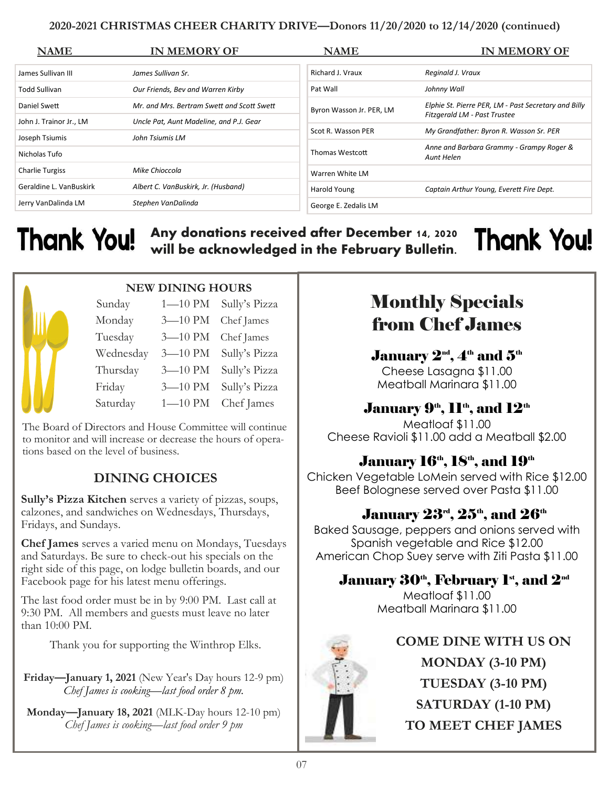#### **2020-2021 CHRISTMAS CHEER CHARITY DRIVE—Donors 11/20/2020 to 12/14/2020 (continued)**

| <b>NAME</b>             | <b>IN MEMORY OF</b>                        | <b>NAME</b>              | <b>IN MEMORY OF</b>                                                                  |
|-------------------------|--------------------------------------------|--------------------------|--------------------------------------------------------------------------------------|
| James Sullivan III      | James Sullivan Sr.                         | Richard J. Vraux         | Reginald J. Vraux                                                                    |
| Todd Sullivan           | Our Friends, Bev and Warren Kirby          | Pat Wall                 | Johnny Wall                                                                          |
| Daniel Swett            | Mr. and Mrs. Bertram Swett and Scott Swett | Byron Wasson Jr. PER, LM | Elphie St. Pierre PER, LM - Past Secretary and Billy<br>Fitzgerald LM - Past Trustee |
| John J. Trainor Jr., LM | Uncle Pat, Aunt Madeline, and P.J. Gear    |                          |                                                                                      |
| Joseph Tsiumis          | John Tsiumis LM                            | Scot R. Wasson PER       | My Grandfather: Byron R. Wasson Sr. PER                                              |
| Nicholas Tufo           |                                            | Thomas Westcott          | Anne and Barbara Grammy - Grampy Roger &<br>Aunt Helen                               |
| <b>Charlie Turgiss</b>  | Mike Chioccola                             | Warren White LM          |                                                                                      |
| Geraldine L. VanBuskirk | Albert C. VanBuskirk, Jr. (Husband)        | Harold Young             | Captain Arthur Young, Everett Fire Dept.                                             |
| Jerry VanDalinda LM     | Stephen VanDalinda                         | George E. Zedalis LM     |                                                                                      |

**Any donations received after December 14, 2020**  Thank You! **Thank You! will be acknowledged in the February Bulletin.**



### **NEW DINING HOURS**

| Sunday    | $1 - 10$ PM | Sully's Pizza |
|-----------|-------------|---------------|
| Monday    | 3-10 PM     | Chef James    |
| Tuesday   | 3-10 PM     | Chef James    |
| Wednesday | 3-10 PM     | Sully's Pizza |
| Thursday  | 3-10 PM     | Sully's Pizza |
| Friday    | 3-10 PM     | Sully's Pizza |
| Saturday  | $1 - 10$ PM | Chef James    |

The Board of Directors and House Committee will continue to monitor and will increase or decrease the hours of operations based on the level of business.

# **DINING CHOICES**

**Sully's Pizza Kitchen** serves a variety of pizzas, soups, calzones, and sandwiches on Wednesdays, Thursdays, Fridays, and Sundays.

**Chef James** serves a varied menu on Mondays, Tuesdays and Saturdays. Be sure to check-out his specials on the right side of this page, on lodge bulletin boards, and our Facebook page for his latest menu offerings.

The last food order must be in by 9:00 PM. Last call at 9:30 PM. All members and guests must leave no later than 10:00 PM.

Thank you for supporting the Winthrop Elks.

**Friday—January 1, 2021** (New Year's Day hours 12-9 pm) *Chef James is cooking—last food order 8 pm.* 

**Monday—January 18, 2021** (MLK-Day hours 12-10 pm) *Chef James is cooking—last food order 9 pm* 

# Monthly Specials from Chef James

January  $2^{\text{nd}}$ ,  $4^{\text{th}}$  and  $5^{\text{th}}$ Cheese Lasagna \$11.00 Meatball Marinara \$11.00

# January  $9<sup>th</sup>$ ,  $11<sup>th</sup>$ , and  $12<sup>th</sup>$

Meatloaf \$11.00 Cheese Ravioli \$11.00 add a Meatball \$2.00

# January 16<sup>th</sup>, 18<sup>th</sup>, and 19<sup>th</sup>

Chicken Vegetable LoMein served with Rice \$12.00 Beef Bolognese served over Pasta \$11.00

# January  $23^{\text{rd}}, 25^{\text{th}},$  and  $26^{\text{th}}$

Baked Sausage, peppers and onions served with Spanish vegetable and Rice \$12.00 American Chop Suey serve with Ziti Pasta \$11.00

# January  $30<sup>th</sup>$ , February 1<sup>st</sup>, and  $2<sup>nd</sup>$

Meatloaf \$11.00 Meatball Marinara \$11.00



**COME DINE WITH US ON MONDAY (3-10 PM) TUESDAY (3-10 PM) SATURDAY (1-10 PM) TO MEET CHEF JAMES**